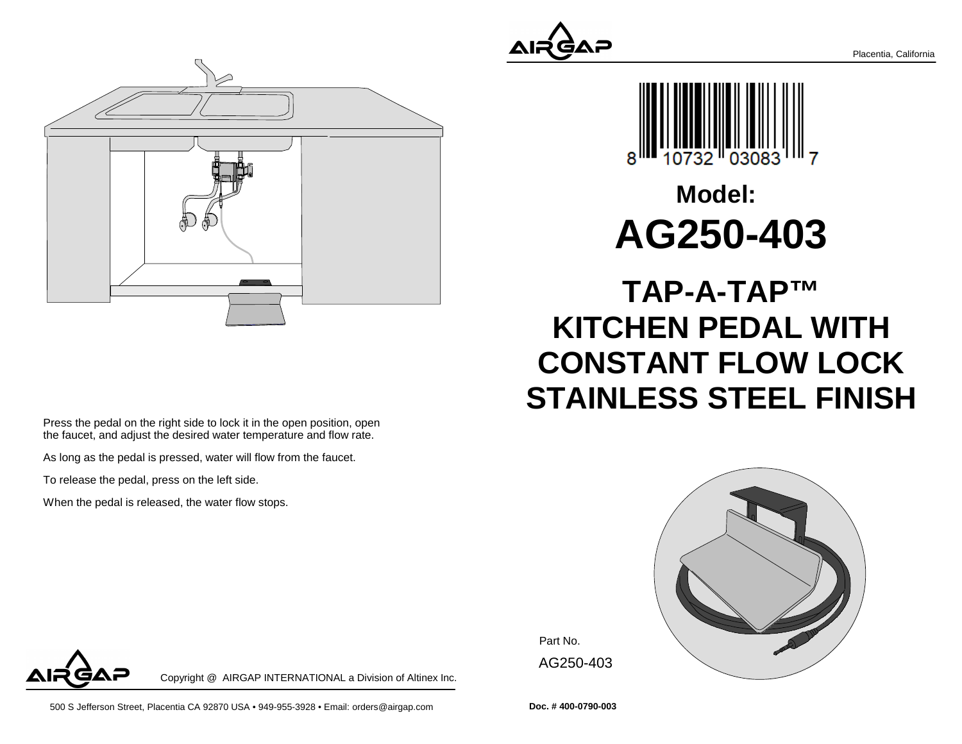



Press the pedal on the right side to lock it in the open position, openthe faucet, and adjust the desired water temperature and flow rate.

As long as the pedal is pressed, water will flow from the faucet.

To release the pedal, press on the left side.

When the pedal is released, the water flow stops.



# **Model:AG250-403**

## **TAP-A-TAP™ KITCHEN PEDAL WITH CONSTANT FLOW LOCKSTAINLESS STEEL FINISH**



Part No. AG250-403

Copyright @ AIRGAP INTERNATIONAL a Division of Altinex Inc.

500 S Jefferson Street, Placentia CA 92870 USA • 949-955-3928 • Email: orders@airgap.com

**Doc. # 400-0790-003**